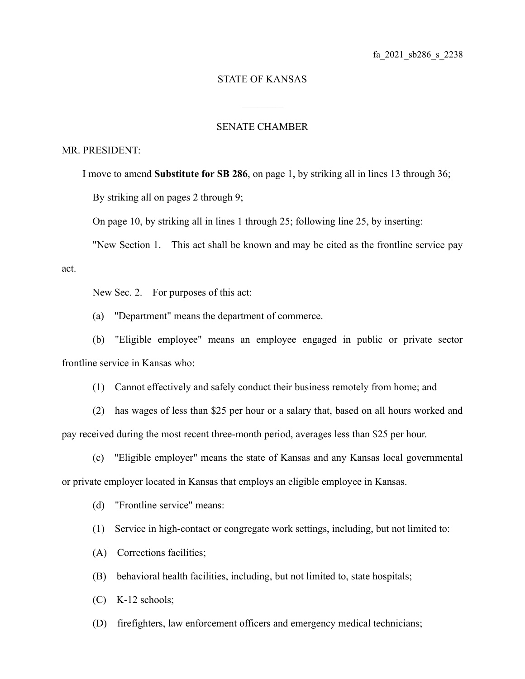# STATE OF KANSAS

 $\mathcal{L}_\text{max}$ 

## SENATE CHAMBER

#### MR. PRESIDENT:

I move to amend **Substitute for SB 286**, on page 1, by striking all in lines 13 through 36; By striking all on pages 2 through 9;

On page 10, by striking all in lines 1 through 25; following line 25, by inserting:

"New Section 1. This act shall be known and may be cited as the frontline service pay

act.

New Sec. 2. For purposes of this act:

(a) "Department" means the department of commerce.

(b) "Eligible employee" means an employee engaged in public or private sector frontline service in Kansas who:

(1) Cannot effectively and safely conduct their business remotely from home; and

(2) has wages of less than \$25 per hour or a salary that, based on all hours worked and pay received during the most recent three-month period, averages less than \$25 per hour.

(c) "Eligible employer" means the state of Kansas and any Kansas local governmental or private employer located in Kansas that employs an eligible employee in Kansas.

(d) "Frontline service" means:

(1) Service in high-contact or congregate work settings, including, but not limited to:

(A) Corrections facilities;

(B) behavioral health facilities, including, but not limited to, state hospitals;

(C) K-12 schools;

(D) firefighters, law enforcement officers and emergency medical technicians;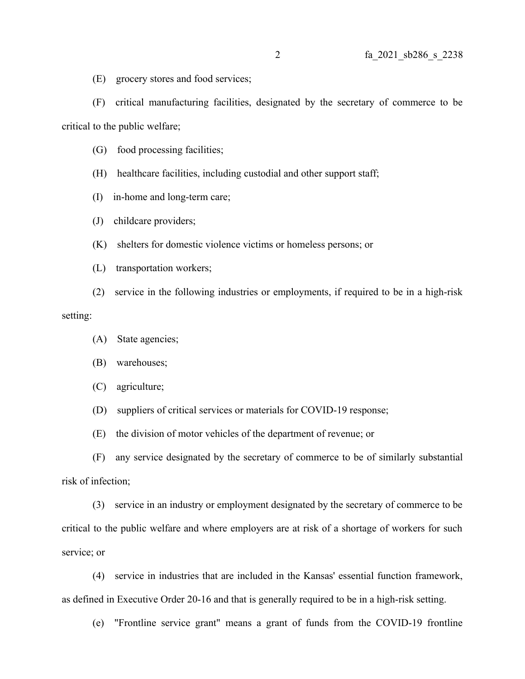(E) grocery stores and food services;

(F) critical manufacturing facilities, designated by the secretary of commerce to be critical to the public welfare;

(G) food processing facilities;

(H) healthcare facilities, including custodial and other support staff;

(I) in-home and long-term care;

(J) childcare providers;

(K) shelters for domestic violence victims or homeless persons; or

(L) transportation workers;

(2) service in the following industries or employments, if required to be in a high-risk

setting:

(A) State agencies;

(B) warehouses;

(C) agriculture;

(D) suppliers of critical services or materials for COVID-19 response;

(E) the division of motor vehicles of the department of revenue; or

(F) any service designated by the secretary of commerce to be of similarly substantial risk of infection;

(3) service in an industry or employment designated by the secretary of commerce to be critical to the public welfare and where employers are at risk of a shortage of workers for such service; or

(4) service in industries that are included in the Kansas' essential function framework, as defined in Executive Order 20-16 and that is generally required to be in a high-risk setting.

(e) "Frontline service grant" means a grant of funds from the COVID-19 frontline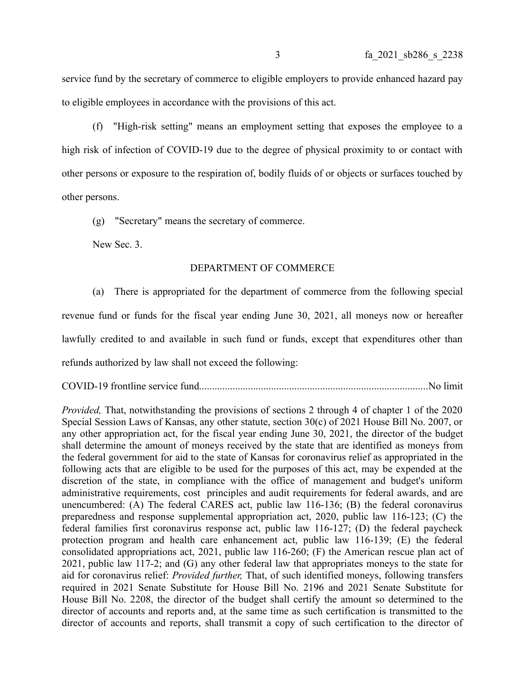service fund by the secretary of commerce to eligible employers to provide enhanced hazard pay to eligible employees in accordance with the provisions of this act.

(f) "High-risk setting" means an employment setting that exposes the employee to a high risk of infection of COVID-19 due to the degree of physical proximity to or contact with other persons or exposure to the respiration of, bodily fluids of or objects or surfaces touched by other persons.

(g) "Secretary" means the secretary of commerce.

New Sec. 3.

# DEPARTMENT OF COMMERCE

(a) There is appropriated for the department of commerce from the following special revenue fund or funds for the fiscal year ending June 30, 2021, all moneys now or hereafter lawfully credited to and available in such fund or funds, except that expenditures other than refunds authorized by law shall not exceed the following:

COVID-19 frontline service fund.........................................................................................No limit

*Provided,* That, notwithstanding the provisions of sections 2 through 4 of chapter 1 of the 2020 Special Session Laws of Kansas, any other statute, section 30(c) of 2021 House Bill No. 2007, or any other appropriation act, for the fiscal year ending June 30, 2021, the director of the budget shall determine the amount of moneys received by the state that are identified as moneys from the federal government for aid to the state of Kansas for coronavirus relief as appropriated in the following acts that are eligible to be used for the purposes of this act, may be expended at the discretion of the state, in compliance with the office of management and budget's uniform administrative requirements, cost principles and audit requirements for federal awards, and are unencumbered: (A) The federal CARES act, public law 116-136; (B) the federal coronavirus preparedness and response supplemental appropriation act, 2020, public law 116-123; (C) the federal families first coronavirus response act, public law 116-127; (D) the federal paycheck protection program and health care enhancement act, public law 116-139; (E) the federal consolidated appropriations act, 2021, public law 116-260; (F) the American rescue plan act of 2021, public law 117-2; and (G) any other federal law that appropriates moneys to the state for aid for coronavirus relief: *Provided further,* That, of such identified moneys, following transfers required in 2021 Senate Substitute for House Bill No. 2196 and 2021 Senate Substitute for House Bill No. 2208, the director of the budget shall certify the amount so determined to the director of accounts and reports and, at the same time as such certification is transmitted to the director of accounts and reports, shall transmit a copy of such certification to the director of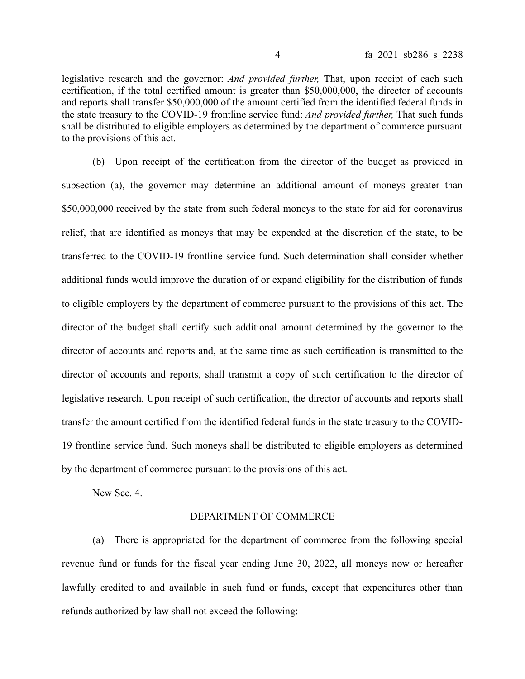legislative research and the governor: *And provided further,* That, upon receipt of each such certification, if the total certified amount is greater than \$50,000,000, the director of accounts and reports shall transfer \$50,000,000 of the amount certified from the identified federal funds in the state treasury to the COVID-19 frontline service fund: *And provided further,* That such funds shall be distributed to eligible employers as determined by the department of commerce pursuant to the provisions of this act.

(b) Upon receipt of the certification from the director of the budget as provided in subsection (a), the governor may determine an additional amount of moneys greater than \$50,000,000 received by the state from such federal moneys to the state for aid for coronavirus relief, that are identified as moneys that may be expended at the discretion of the state, to be transferred to the COVID-19 frontline service fund. Such determination shall consider whether additional funds would improve the duration of or expand eligibility for the distribution of funds to eligible employers by the department of commerce pursuant to the provisions of this act. The director of the budget shall certify such additional amount determined by the governor to the director of accounts and reports and, at the same time as such certification is transmitted to the director of accounts and reports, shall transmit a copy of such certification to the director of legislative research. Upon receipt of such certification, the director of accounts and reports shall transfer the amount certified from the identified federal funds in the state treasury to the COVID-19 frontline service fund. Such moneys shall be distributed to eligible employers as determined by the department of commerce pursuant to the provisions of this act.

New Sec. 4.

## DEPARTMENT OF COMMERCE

(a) There is appropriated for the department of commerce from the following special revenue fund or funds for the fiscal year ending June 30, 2022, all moneys now or hereafter lawfully credited to and available in such fund or funds, except that expenditures other than refunds authorized by law shall not exceed the following: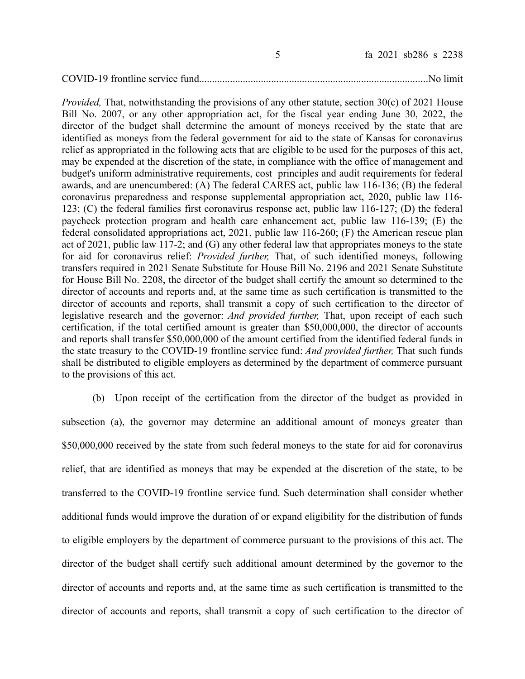COVID-19 frontline service fund.........................................................................................No limit

5 fa\_2021\_sb286\_s\_2238

*Provided*, That, notwithstanding the provisions of any other statute, section 30(c) of 2021 House Bill No. 2007, or any other appropriation act, for the fiscal year ending June 30, 2022, the director of the budget shall determine the amount of moneys received by the state that are identified as moneys from the federal government for aid to the state of Kansas for coronavirus relief as appropriated in the following acts that are eligible to be used for the purposes of this act, may be expended at the discretion of the state, in compliance with the office of management and budget's uniform administrative requirements, cost principles and audit requirements for federal awards, and are unencumbered: (A) The federal CARES act, public law 116-136; (B) the federal coronavirus preparedness and response supplemental appropriation act, 2020, public law 116- 123; (C) the federal families first coronavirus response act, public law 116-127; (D) the federal paycheck protection program and health care enhancement act, public law 116-139; (E) the federal consolidated appropriations act, 2021, public law 116-260; (F) the American rescue plan act of 2021, public law 117-2; and (G) any other federal law that appropriates moneys to the state for aid for coronavirus relief: *Provided further,* That, of such identified moneys, following transfers required in 2021 Senate Substitute for House Bill No. 2196 and 2021 Senate Substitute for House Bill No. 2208, the director of the budget shall certify the amount so determined to the director of accounts and reports and, at the same time as such certification is transmitted to the director of accounts and reports, shall transmit a copy of such certification to the director of legislative research and the governor: *And provided further,* That, upon receipt of each such certification, if the total certified amount is greater than \$50,000,000, the director of accounts and reports shall transfer \$50,000,000 of the amount certified from the identified federal funds in the state treasury to the COVID-19 frontline service fund: *And provided further,* That such funds shall be distributed to eligible employers as determined by the department of commerce pursuant to the provisions of this act.

(b) Upon receipt of the certification from the director of the budget as provided in subsection (a), the governor may determine an additional amount of moneys greater than \$50,000,000 received by the state from such federal moneys to the state for aid for coronavirus relief, that are identified as moneys that may be expended at the discretion of the state, to be transferred to the COVID-19 frontline service fund. Such determination shall consider whether additional funds would improve the duration of or expand eligibility for the distribution of funds to eligible employers by the department of commerce pursuant to the provisions of this act. The director of the budget shall certify such additional amount determined by the governor to the director of accounts and reports and, at the same time as such certification is transmitted to the director of accounts and reports, shall transmit a copy of such certification to the director of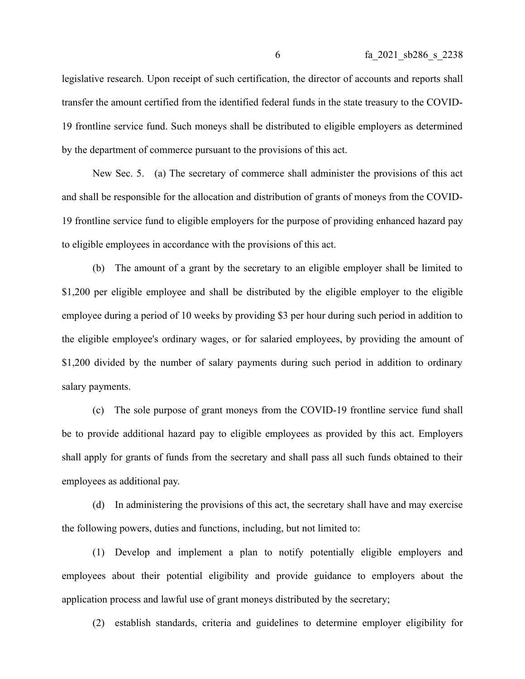legislative research. Upon receipt of such certification, the director of accounts and reports shall transfer the amount certified from the identified federal funds in the state treasury to the COVID-19 frontline service fund. Such moneys shall be distributed to eligible employers as determined by the department of commerce pursuant to the provisions of this act.

New Sec. 5. (a) The secretary of commerce shall administer the provisions of this act and shall be responsible for the allocation and distribution of grants of moneys from the COVID-19 frontline service fund to eligible employers for the purpose of providing enhanced hazard pay to eligible employees in accordance with the provisions of this act.

(b) The amount of a grant by the secretary to an eligible employer shall be limited to \$1,200 per eligible employee and shall be distributed by the eligible employer to the eligible employee during a period of 10 weeks by providing \$3 per hour during such period in addition to the eligible employee's ordinary wages, or for salaried employees, by providing the amount of \$1,200 divided by the number of salary payments during such period in addition to ordinary salary payments.

(c) The sole purpose of grant moneys from the COVID-19 frontline service fund shall be to provide additional hazard pay to eligible employees as provided by this act. Employers shall apply for grants of funds from the secretary and shall pass all such funds obtained to their employees as additional pay.

(d) In administering the provisions of this act, the secretary shall have and may exercise the following powers, duties and functions, including, but not limited to:

(1) Develop and implement a plan to notify potentially eligible employers and employees about their potential eligibility and provide guidance to employers about the application process and lawful use of grant moneys distributed by the secretary;

(2) establish standards, criteria and guidelines to determine employer eligibility for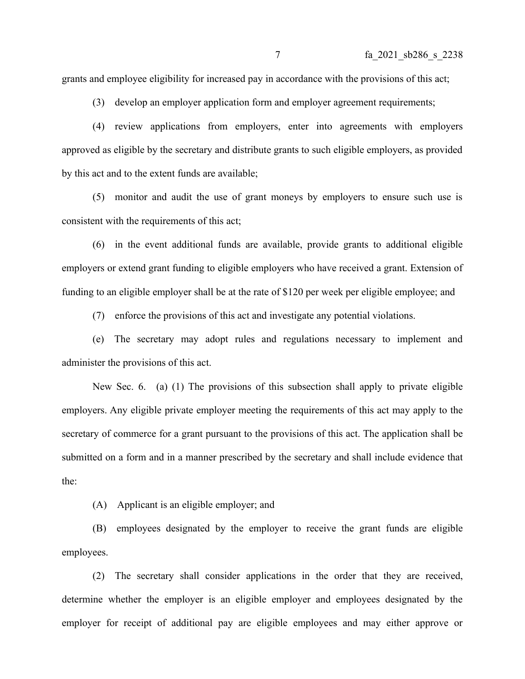grants and employee eligibility for increased pay in accordance with the provisions of this act;

(3) develop an employer application form and employer agreement requirements;

(4) review applications from employers, enter into agreements with employers approved as eligible by the secretary and distribute grants to such eligible employers, as provided by this act and to the extent funds are available;

(5) monitor and audit the use of grant moneys by employers to ensure such use is consistent with the requirements of this act;

(6) in the event additional funds are available, provide grants to additional eligible employers or extend grant funding to eligible employers who have received a grant. Extension of funding to an eligible employer shall be at the rate of \$120 per week per eligible employee; and

(7) enforce the provisions of this act and investigate any potential violations.

(e) The secretary may adopt rules and regulations necessary to implement and administer the provisions of this act.

New Sec. 6. (a) (1) The provisions of this subsection shall apply to private eligible employers. Any eligible private employer meeting the requirements of this act may apply to the secretary of commerce for a grant pursuant to the provisions of this act. The application shall be submitted on a form and in a manner prescribed by the secretary and shall include evidence that the:

(A) Applicant is an eligible employer; and

(B) employees designated by the employer to receive the grant funds are eligible employees.

(2) The secretary shall consider applications in the order that they are received, determine whether the employer is an eligible employer and employees designated by the employer for receipt of additional pay are eligible employees and may either approve or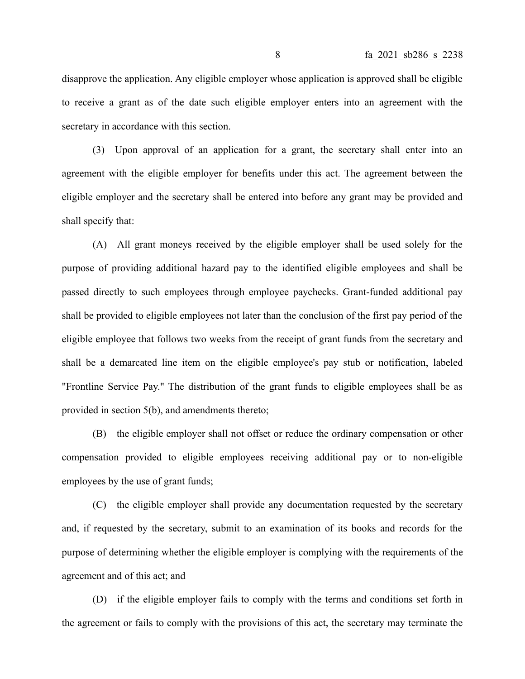disapprove the application. Any eligible employer whose application is approved shall be eligible to receive a grant as of the date such eligible employer enters into an agreement with the secretary in accordance with this section.

(3) Upon approval of an application for a grant, the secretary shall enter into an agreement with the eligible employer for benefits under this act. The agreement between the eligible employer and the secretary shall be entered into before any grant may be provided and shall specify that:

(A) All grant moneys received by the eligible employer shall be used solely for the purpose of providing additional hazard pay to the identified eligible employees and shall be passed directly to such employees through employee paychecks. Grant-funded additional pay shall be provided to eligible employees not later than the conclusion of the first pay period of the eligible employee that follows two weeks from the receipt of grant funds from the secretary and shall be a demarcated line item on the eligible employee's pay stub or notification, labeled "Frontline Service Pay." The distribution of the grant funds to eligible employees shall be as provided in section 5(b), and amendments thereto;

(B) the eligible employer shall not offset or reduce the ordinary compensation or other compensation provided to eligible employees receiving additional pay or to non-eligible employees by the use of grant funds;

(C) the eligible employer shall provide any documentation requested by the secretary and, if requested by the secretary, submit to an examination of its books and records for the purpose of determining whether the eligible employer is complying with the requirements of the agreement and of this act; and

(D) if the eligible employer fails to comply with the terms and conditions set forth in the agreement or fails to comply with the provisions of this act, the secretary may terminate the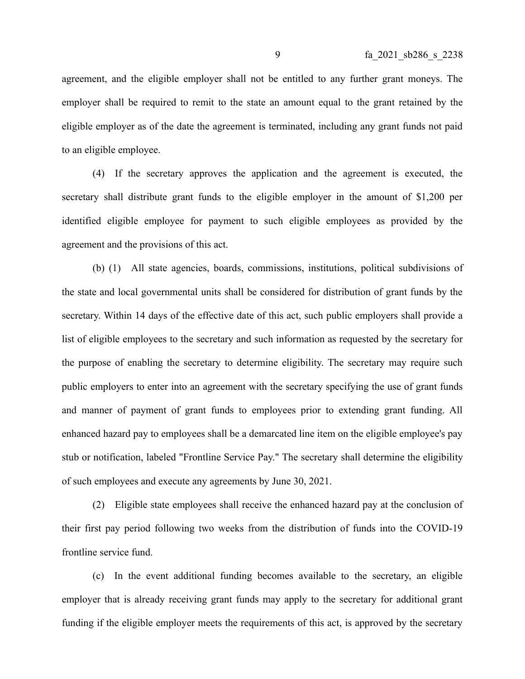agreement, and the eligible employer shall not be entitled to any further grant moneys. The employer shall be required to remit to the state an amount equal to the grant retained by the eligible employer as of the date the agreement is terminated, including any grant funds not paid to an eligible employee.

(4) If the secretary approves the application and the agreement is executed, the secretary shall distribute grant funds to the eligible employer in the amount of \$1,200 per identified eligible employee for payment to such eligible employees as provided by the agreement and the provisions of this act.

(b) (1) All state agencies, boards, commissions, institutions, political subdivisions of the state and local governmental units shall be considered for distribution of grant funds by the secretary. Within 14 days of the effective date of this act, such public employers shall provide a list of eligible employees to the secretary and such information as requested by the secretary for the purpose of enabling the secretary to determine eligibility. The secretary may require such public employers to enter into an agreement with the secretary specifying the use of grant funds and manner of payment of grant funds to employees prior to extending grant funding. All enhanced hazard pay to employees shall be a demarcated line item on the eligible employee's pay stub or notification, labeled "Frontline Service Pay." The secretary shall determine the eligibility of such employees and execute any agreements by June 30, 2021.

(2) Eligible state employees shall receive the enhanced hazard pay at the conclusion of their first pay period following two weeks from the distribution of funds into the COVID-19 frontline service fund.

(c) In the event additional funding becomes available to the secretary, an eligible employer that is already receiving grant funds may apply to the secretary for additional grant funding if the eligible employer meets the requirements of this act, is approved by the secretary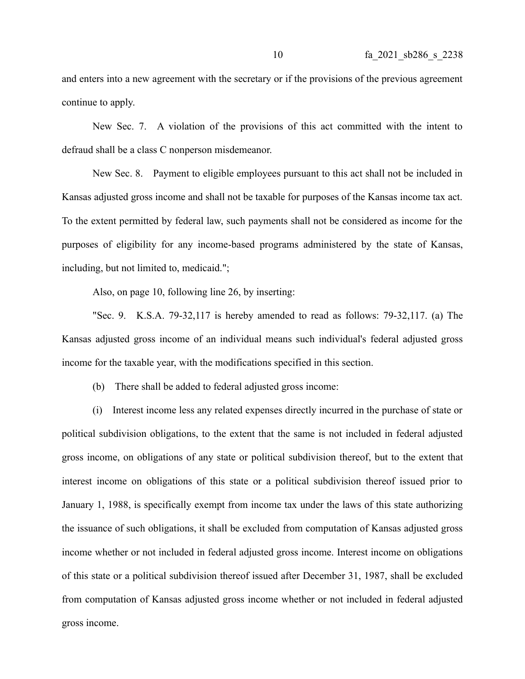and enters into a new agreement with the secretary or if the provisions of the previous agreement continue to apply.

New Sec. 7. A violation of the provisions of this act committed with the intent to defraud shall be a class C nonperson misdemeanor.

New Sec. 8. Payment to eligible employees pursuant to this act shall not be included in Kansas adjusted gross income and shall not be taxable for purposes of the Kansas income tax act. To the extent permitted by federal law, such payments shall not be considered as income for the purposes of eligibility for any income-based programs administered by the state of Kansas, including, but not limited to, medicaid.";

Also, on page 10, following line 26, by inserting:

"Sec. 9. K.S.A. 79-32,117 is hereby amended to read as follows: 79-32,117. (a) The Kansas adjusted gross income of an individual means such individual's federal adjusted gross income for the taxable year, with the modifications specified in this section.

(b) There shall be added to federal adjusted gross income:

(i) Interest income less any related expenses directly incurred in the purchase of state or political subdivision obligations, to the extent that the same is not included in federal adjusted gross income, on obligations of any state or political subdivision thereof, but to the extent that interest income on obligations of this state or a political subdivision thereof issued prior to January 1, 1988, is specifically exempt from income tax under the laws of this state authorizing the issuance of such obligations, it shall be excluded from computation of Kansas adjusted gross income whether or not included in federal adjusted gross income. Interest income on obligations of this state or a political subdivision thereof issued after December 31, 1987, shall be excluded from computation of Kansas adjusted gross income whether or not included in federal adjusted gross income.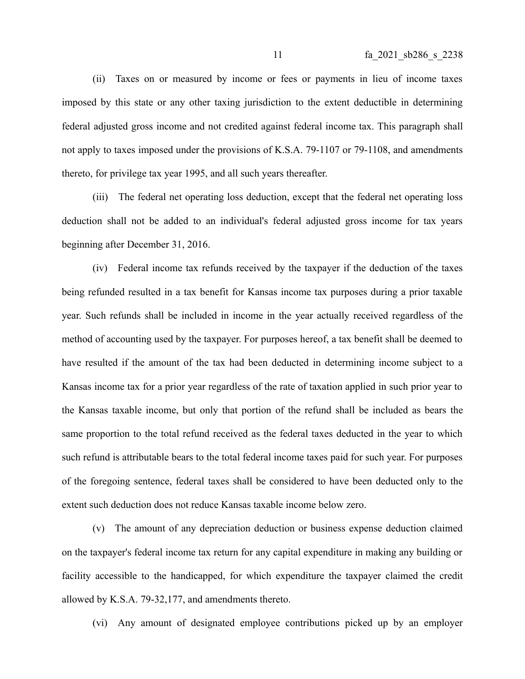(ii) Taxes on or measured by income or fees or payments in lieu of income taxes imposed by this state or any other taxing jurisdiction to the extent deductible in determining federal adjusted gross income and not credited against federal income tax. This paragraph shall not apply to taxes imposed under the provisions of K.S.A. 79-1107 or 79-1108, and amendments thereto, for privilege tax year 1995, and all such years thereafter.

(iii) The federal net operating loss deduction, except that the federal net operating loss deduction shall not be added to an individual's federal adjusted gross income for tax years beginning after December 31, 2016.

(iv) Federal income tax refunds received by the taxpayer if the deduction of the taxes being refunded resulted in a tax benefit for Kansas income tax purposes during a prior taxable year. Such refunds shall be included in income in the year actually received regardless of the method of accounting used by the taxpayer. For purposes hereof, a tax benefit shall be deemed to have resulted if the amount of the tax had been deducted in determining income subject to a Kansas income tax for a prior year regardless of the rate of taxation applied in such prior year to the Kansas taxable income, but only that portion of the refund shall be included as bears the same proportion to the total refund received as the federal taxes deducted in the year to which such refund is attributable bears to the total federal income taxes paid for such year. For purposes of the foregoing sentence, federal taxes shall be considered to have been deducted only to the extent such deduction does not reduce Kansas taxable income below zero.

(v) The amount of any depreciation deduction or business expense deduction claimed on the taxpayer's federal income tax return for any capital expenditure in making any building or facility accessible to the handicapped, for which expenditure the taxpayer claimed the credit allowed by K.S.A. 79-32,177, and amendments thereto.

(vi) Any amount of designated employee contributions picked up by an employer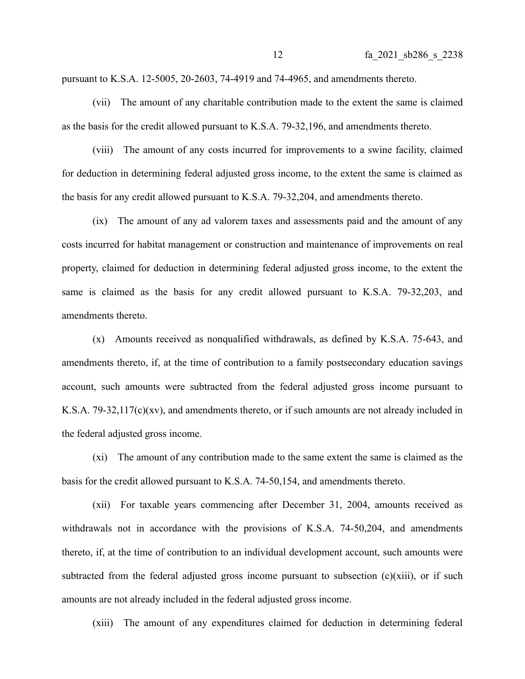pursuant to K.S.A. 12-5005, 20-2603, 74-4919 and 74-4965, and amendments thereto.

(vii) The amount of any charitable contribution made to the extent the same is claimed as the basis for the credit allowed pursuant to K.S.A. 79-32,196, and amendments thereto.

(viii) The amount of any costs incurred for improvements to a swine facility, claimed for deduction in determining federal adjusted gross income, to the extent the same is claimed as the basis for any credit allowed pursuant to K.S.A. 79-32,204, and amendments thereto.

(ix) The amount of any ad valorem taxes and assessments paid and the amount of any costs incurred for habitat management or construction and maintenance of improvements on real property, claimed for deduction in determining federal adjusted gross income, to the extent the same is claimed as the basis for any credit allowed pursuant to K.S.A. 79-32,203, and amendments thereto.

(x) Amounts received as nonqualified withdrawals, as defined by K.S.A. 75-643, and amendments thereto, if, at the time of contribution to a family postsecondary education savings account, such amounts were subtracted from the federal adjusted gross income pursuant to K.S.A. 79-32,117(c)(xv), and amendments thereto, or if such amounts are not already included in the federal adjusted gross income.

(xi) The amount of any contribution made to the same extent the same is claimed as the basis for the credit allowed pursuant to K.S.A. 74-50,154, and amendments thereto.

(xii) For taxable years commencing after December 31, 2004, amounts received as withdrawals not in accordance with the provisions of K.S.A. 74-50,204, and amendments thereto, if, at the time of contribution to an individual development account, such amounts were subtracted from the federal adjusted gross income pursuant to subsection (c)(xiii), or if such amounts are not already included in the federal adjusted gross income.

(xiii) The amount of any expenditures claimed for deduction in determining federal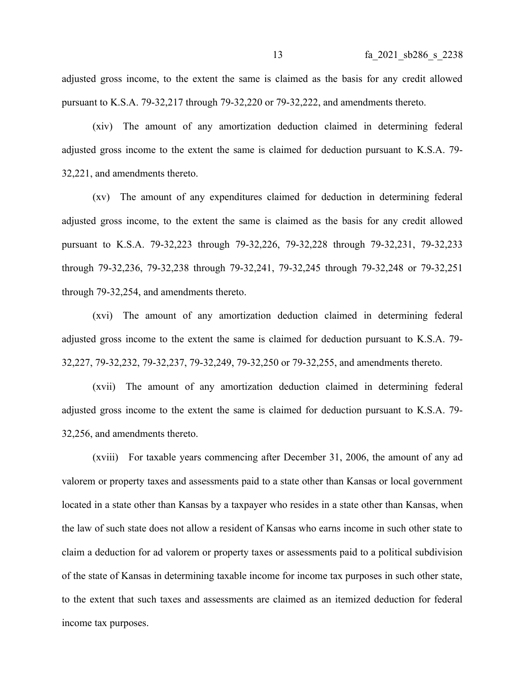adjusted gross income, to the extent the same is claimed as the basis for any credit allowed pursuant to K.S.A. 79-32,217 through 79-32,220 or 79-32,222, and amendments thereto.

(xiv) The amount of any amortization deduction claimed in determining federal adjusted gross income to the extent the same is claimed for deduction pursuant to K.S.A. 79- 32,221, and amendments thereto.

(xv) The amount of any expenditures claimed for deduction in determining federal adjusted gross income, to the extent the same is claimed as the basis for any credit allowed pursuant to K.S.A. 79-32,223 through 79-32,226, 79-32,228 through 79-32,231, 79-32,233 through 79-32,236, 79-32,238 through 79-32,241, 79-32,245 through 79-32,248 or 79-32,251 through 79-32,254, and amendments thereto.

(xvi) The amount of any amortization deduction claimed in determining federal adjusted gross income to the extent the same is claimed for deduction pursuant to K.S.A. 79- 32,227, 79-32,232, 79-32,237, 79-32,249, 79-32,250 or 79-32,255, and amendments thereto.

(xvii) The amount of any amortization deduction claimed in determining federal adjusted gross income to the extent the same is claimed for deduction pursuant to K.S.A. 79- 32,256, and amendments thereto.

(xviii) For taxable years commencing after December 31, 2006, the amount of any ad valorem or property taxes and assessments paid to a state other than Kansas or local government located in a state other than Kansas by a taxpayer who resides in a state other than Kansas, when the law of such state does not allow a resident of Kansas who earns income in such other state to claim a deduction for ad valorem or property taxes or assessments paid to a political subdivision of the state of Kansas in determining taxable income for income tax purposes in such other state, to the extent that such taxes and assessments are claimed as an itemized deduction for federal income tax purposes.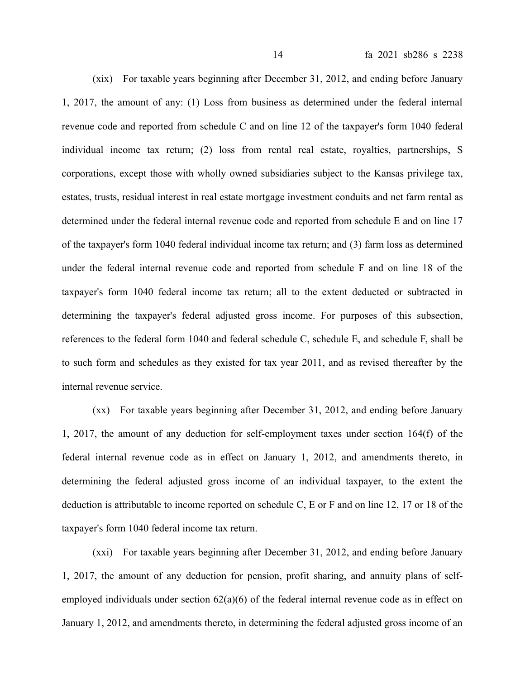(xix) For taxable years beginning after December 31, 2012, and ending before January 1, 2017, the amount of any: (1) Loss from business as determined under the federal internal revenue code and reported from schedule C and on line 12 of the taxpayer's form 1040 federal individual income tax return; (2) loss from rental real estate, royalties, partnerships, S corporations, except those with wholly owned subsidiaries subject to the Kansas privilege tax, estates, trusts, residual interest in real estate mortgage investment conduits and net farm rental as determined under the federal internal revenue code and reported from schedule E and on line 17 of the taxpayer's form 1040 federal individual income tax return; and (3) farm loss as determined under the federal internal revenue code and reported from schedule F and on line 18 of the taxpayer's form 1040 federal income tax return; all to the extent deducted or subtracted in determining the taxpayer's federal adjusted gross income. For purposes of this subsection, references to the federal form 1040 and federal schedule C, schedule E, and schedule F, shall be to such form and schedules as they existed for tax year 2011, and as revised thereafter by the internal revenue service.

(xx) For taxable years beginning after December 31, 2012, and ending before January 1, 2017, the amount of any deduction for self-employment taxes under section 164(f) of the federal internal revenue code as in effect on January 1, 2012, and amendments thereto, in determining the federal adjusted gross income of an individual taxpayer, to the extent the deduction is attributable to income reported on schedule C, E or F and on line 12, 17 or 18 of the taxpayer's form 1040 federal income tax return.

(xxi) For taxable years beginning after December 31, 2012, and ending before January 1, 2017, the amount of any deduction for pension, profit sharing, and annuity plans of selfemployed individuals under section 62(a)(6) of the federal internal revenue code as in effect on January 1, 2012, and amendments thereto, in determining the federal adjusted gross income of an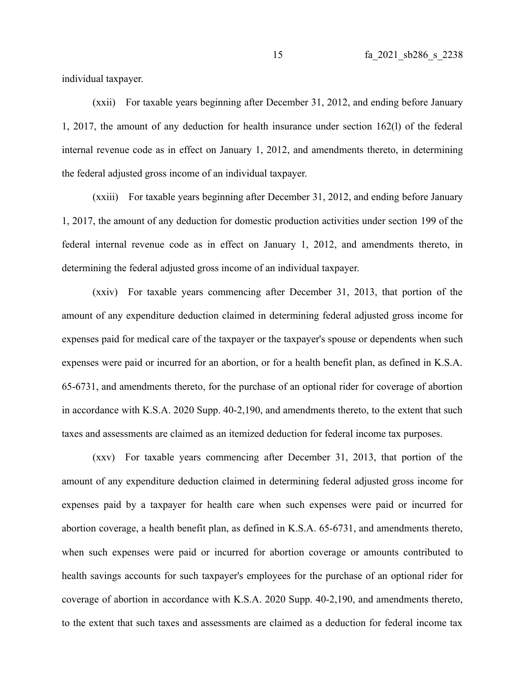individual taxpayer.

(xxii) For taxable years beginning after December 31, 2012, and ending before January 1, 2017, the amount of any deduction for health insurance under section 162(l) of the federal internal revenue code as in effect on January 1, 2012, and amendments thereto, in determining the federal adjusted gross income of an individual taxpayer.

(xxiii) For taxable years beginning after December 31, 2012, and ending before January 1, 2017, the amount of any deduction for domestic production activities under section 199 of the federal internal revenue code as in effect on January 1, 2012, and amendments thereto, in determining the federal adjusted gross income of an individual taxpayer.

(xxiv) For taxable years commencing after December 31, 2013, that portion of the amount of any expenditure deduction claimed in determining federal adjusted gross income for expenses paid for medical care of the taxpayer or the taxpayer's spouse or dependents when such expenses were paid or incurred for an abortion, or for a health benefit plan, as defined in K.S.A. 65-6731, and amendments thereto, for the purchase of an optional rider for coverage of abortion in accordance with K.S.A. 2020 Supp. 40-2,190, and amendments thereto, to the extent that such taxes and assessments are claimed as an itemized deduction for federal income tax purposes.

(xxv) For taxable years commencing after December 31, 2013, that portion of the amount of any expenditure deduction claimed in determining federal adjusted gross income for expenses paid by a taxpayer for health care when such expenses were paid or incurred for abortion coverage, a health benefit plan, as defined in K.S.A. 65-6731, and amendments thereto, when such expenses were paid or incurred for abortion coverage or amounts contributed to health savings accounts for such taxpayer's employees for the purchase of an optional rider for coverage of abortion in accordance with K.S.A. 2020 Supp. 40-2,190, and amendments thereto, to the extent that such taxes and assessments are claimed as a deduction for federal income tax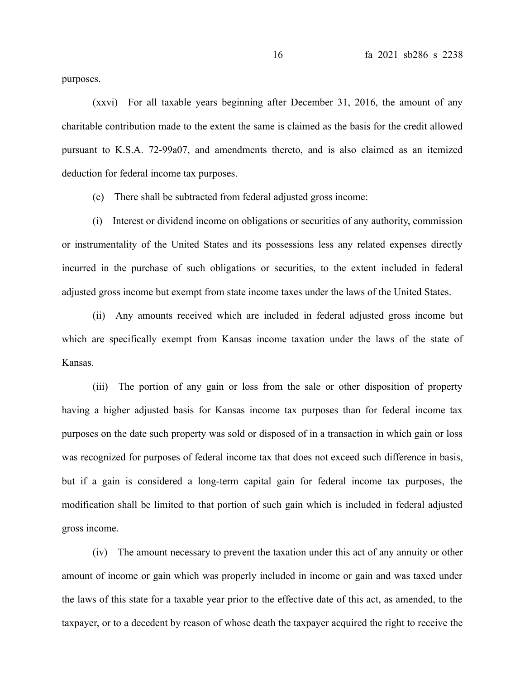(xxvi) For all taxable years beginning after December 31, 2016, the amount of any charitable contribution made to the extent the same is claimed as the basis for the credit allowed pursuant to K.S.A. 72-99a07, and amendments thereto, and is also claimed as an itemized deduction for federal income tax purposes.

(c) There shall be subtracted from federal adjusted gross income:

(i) Interest or dividend income on obligations or securities of any authority, commission or instrumentality of the United States and its possessions less any related expenses directly incurred in the purchase of such obligations or securities, to the extent included in federal adjusted gross income but exempt from state income taxes under the laws of the United States.

(ii) Any amounts received which are included in federal adjusted gross income but which are specifically exempt from Kansas income taxation under the laws of the state of Kansas.

(iii) The portion of any gain or loss from the sale or other disposition of property having a higher adjusted basis for Kansas income tax purposes than for federal income tax purposes on the date such property was sold or disposed of in a transaction in which gain or loss was recognized for purposes of federal income tax that does not exceed such difference in basis, but if a gain is considered a long-term capital gain for federal income tax purposes, the modification shall be limited to that portion of such gain which is included in federal adjusted gross income.

(iv) The amount necessary to prevent the taxation under this act of any annuity or other amount of income or gain which was properly included in income or gain and was taxed under the laws of this state for a taxable year prior to the effective date of this act, as amended, to the taxpayer, or to a decedent by reason of whose death the taxpayer acquired the right to receive the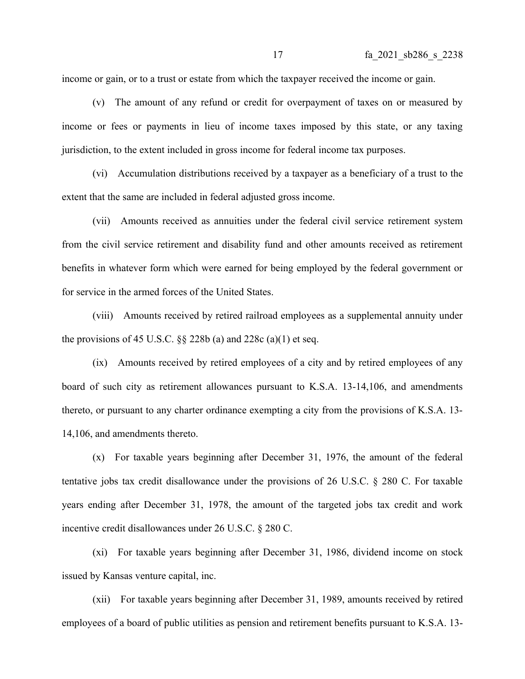income or gain, or to a trust or estate from which the taxpayer received the income or gain.

(v) The amount of any refund or credit for overpayment of taxes on or measured by income or fees or payments in lieu of income taxes imposed by this state, or any taxing jurisdiction, to the extent included in gross income for federal income tax purposes.

(vi) Accumulation distributions received by a taxpayer as a beneficiary of a trust to the extent that the same are included in federal adjusted gross income.

(vii) Amounts received as annuities under the federal civil service retirement system from the civil service retirement and disability fund and other amounts received as retirement benefits in whatever form which were earned for being employed by the federal government or for service in the armed forces of the United States.

(viii) Amounts received by retired railroad employees as a supplemental annuity under the provisions of 45 U.S.C.  $\S$  228b (a) and 228c (a)(1) et seq.

(ix) Amounts received by retired employees of a city and by retired employees of any board of such city as retirement allowances pursuant to K.S.A. 13-14,106, and amendments thereto, or pursuant to any charter ordinance exempting a city from the provisions of K.S.A. 13- 14,106, and amendments thereto.

(x) For taxable years beginning after December 31, 1976, the amount of the federal tentative jobs tax credit disallowance under the provisions of 26 U.S.C. § 280 C. For taxable years ending after December 31, 1978, the amount of the targeted jobs tax credit and work incentive credit disallowances under 26 U.S.C. § 280 C.

(xi) For taxable years beginning after December 31, 1986, dividend income on stock issued by Kansas venture capital, inc.

(xii) For taxable years beginning after December 31, 1989, amounts received by retired employees of a board of public utilities as pension and retirement benefits pursuant to K.S.A. 13-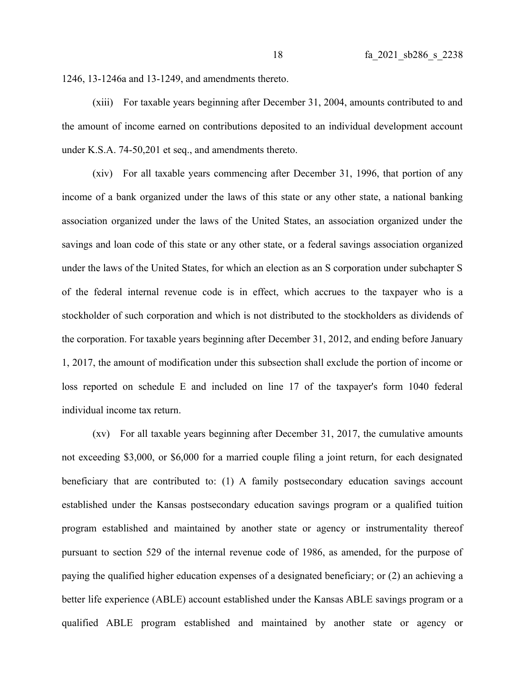1246, 13-1246a and 13-1249, and amendments thereto.

(xiii) For taxable years beginning after December 31, 2004, amounts contributed to and the amount of income earned on contributions deposited to an individual development account under K.S.A. 74-50,201 et seq., and amendments thereto.

(xiv) For all taxable years commencing after December 31, 1996, that portion of any income of a bank organized under the laws of this state or any other state, a national banking association organized under the laws of the United States, an association organized under the savings and loan code of this state or any other state, or a federal savings association organized under the laws of the United States, for which an election as an S corporation under subchapter S of the federal internal revenue code is in effect, which accrues to the taxpayer who is a stockholder of such corporation and which is not distributed to the stockholders as dividends of the corporation. For taxable years beginning after December 31, 2012, and ending before January 1, 2017, the amount of modification under this subsection shall exclude the portion of income or loss reported on schedule E and included on line 17 of the taxpayer's form 1040 federal individual income tax return.

(xv) For all taxable years beginning after December 31, 2017, the cumulative amounts not exceeding \$3,000, or \$6,000 for a married couple filing a joint return, for each designated beneficiary that are contributed to: (1) A family postsecondary education savings account established under the Kansas postsecondary education savings program or a qualified tuition program established and maintained by another state or agency or instrumentality thereof pursuant to section 529 of the internal revenue code of 1986, as amended, for the purpose of paying the qualified higher education expenses of a designated beneficiary; or (2) an achieving a better life experience (ABLE) account established under the Kansas ABLE savings program or a qualified ABLE program established and maintained by another state or agency or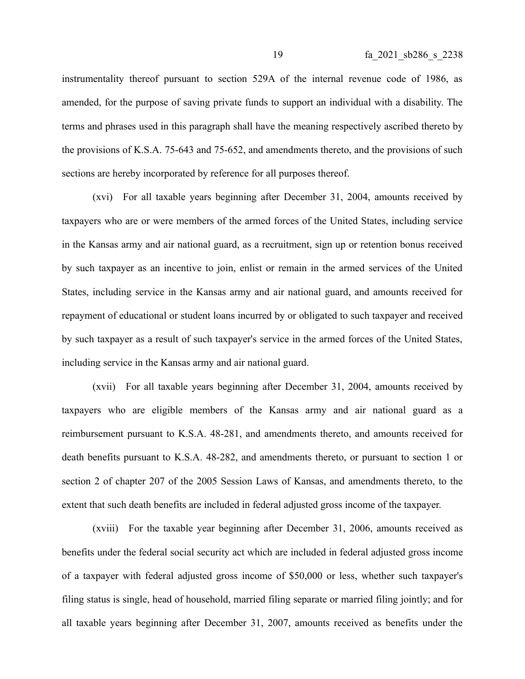instrumentality thereof pursuant to section 529A of the internal revenue code of 1986, as amended, for the purpose of saving private funds to support an individual with a disability. The terms and phrases used in this paragraph shall have the meaning respectively ascribed thereto by the provisions of K.S.A. 75-643 and 75-652, and amendments thereto, and the provisions of such sections are hereby incorporated by reference for all purposes thereof.

(xvi) For all taxable years beginning after December 31, 2004, amounts received by taxpayers who are or were members of the armed forces of the United States, including service in the Kansas army and air national guard, as a recruitment, sign up or retention bonus received by such taxpayer as an incentive to join, enlist or remain in the armed services of the United States, including service in the Kansas army and air national guard, and amounts received for repayment of educational or student loans incurred by or obligated to such taxpayer and received by such taxpayer as a result of such taxpayer's service in the armed forces of the United States, including service in the Kansas army and air national guard.

(xvii) For all taxable years beginning after December 31, 2004, amounts received by taxpayers who are eligible members of the Kansas army and air national guard as a reimbursement pursuant to K.S.A. 48-281, and amendments thereto, and amounts received for death benefits pursuant to K.S.A. 48-282, and amendments thereto, or pursuant to section 1 or section 2 of chapter 207 of the 2005 Session Laws of Kansas, and amendments thereto, to the extent that such death benefits are included in federal adjusted gross income of the taxpayer.

(xviii) For the taxable year beginning after December 31, 2006, amounts received as benefits under the federal social security act which are included in federal adjusted gross income of a taxpayer with federal adjusted gross income of \$50,000 or less, whether such taxpayer's filing status is single, head of household, married filing separate or married filing jointly; and for all taxable years beginning after December 31, 2007, amounts received as benefits under the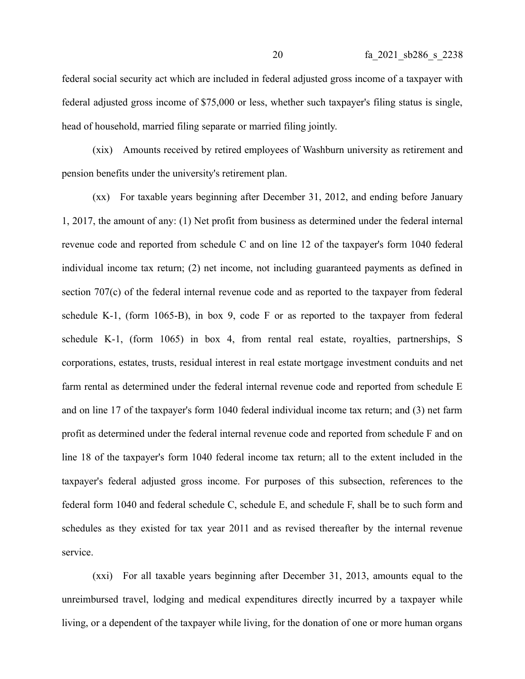federal social security act which are included in federal adjusted gross income of a taxpayer with federal adjusted gross income of \$75,000 or less, whether such taxpayer's filing status is single, head of household, married filing separate or married filing jointly.

(xix) Amounts received by retired employees of Washburn university as retirement and pension benefits under the university's retirement plan.

(xx) For taxable years beginning after December 31, 2012, and ending before January 1, 2017, the amount of any: (1) Net profit from business as determined under the federal internal revenue code and reported from schedule C and on line 12 of the taxpayer's form 1040 federal individual income tax return; (2) net income, not including guaranteed payments as defined in section 707(c) of the federal internal revenue code and as reported to the taxpayer from federal schedule K-1, (form 1065-B), in box 9, code F or as reported to the taxpayer from federal schedule K-1, (form 1065) in box 4, from rental real estate, royalties, partnerships, S corporations, estates, trusts, residual interest in real estate mortgage investment conduits and net farm rental as determined under the federal internal revenue code and reported from schedule E and on line 17 of the taxpayer's form 1040 federal individual income tax return; and (3) net farm profit as determined under the federal internal revenue code and reported from schedule F and on line 18 of the taxpayer's form 1040 federal income tax return; all to the extent included in the taxpayer's federal adjusted gross income. For purposes of this subsection, references to the federal form 1040 and federal schedule C, schedule E, and schedule F, shall be to such form and schedules as they existed for tax year 2011 and as revised thereafter by the internal revenue service.

(xxi) For all taxable years beginning after December 31, 2013, amounts equal to the unreimbursed travel, lodging and medical expenditures directly incurred by a taxpayer while living, or a dependent of the taxpayer while living, for the donation of one or more human organs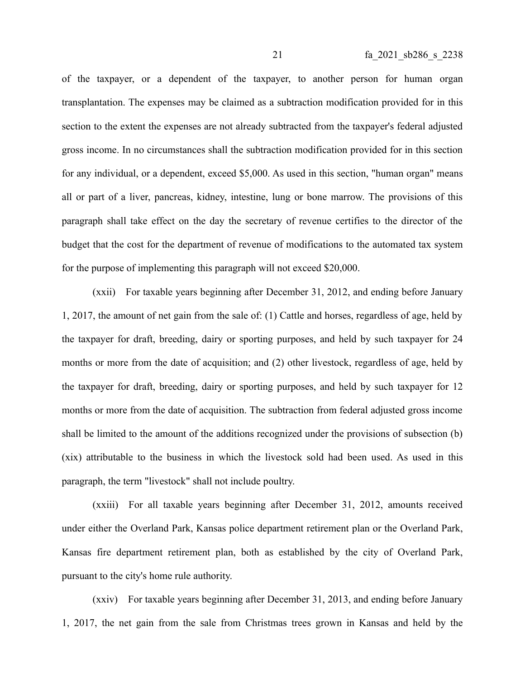of the taxpayer, or a dependent of the taxpayer, to another person for human organ transplantation. The expenses may be claimed as a subtraction modification provided for in this section to the extent the expenses are not already subtracted from the taxpayer's federal adjusted gross income. In no circumstances shall the subtraction modification provided for in this section for any individual, or a dependent, exceed \$5,000. As used in this section, "human organ" means all or part of a liver, pancreas, kidney, intestine, lung or bone marrow. The provisions of this paragraph shall take effect on the day the secretary of revenue certifies to the director of the budget that the cost for the department of revenue of modifications to the automated tax system for the purpose of implementing this paragraph will not exceed \$20,000.

(xxii) For taxable years beginning after December 31, 2012, and ending before January 1, 2017, the amount of net gain from the sale of: (1) Cattle and horses, regardless of age, held by the taxpayer for draft, breeding, dairy or sporting purposes, and held by such taxpayer for 24 months or more from the date of acquisition; and (2) other livestock, regardless of age, held by the taxpayer for draft, breeding, dairy or sporting purposes, and held by such taxpayer for 12 months or more from the date of acquisition. The subtraction from federal adjusted gross income shall be limited to the amount of the additions recognized under the provisions of subsection (b) (xix) attributable to the business in which the livestock sold had been used. As used in this paragraph, the term "livestock" shall not include poultry.

(xxiii) For all taxable years beginning after December 31, 2012, amounts received under either the Overland Park, Kansas police department retirement plan or the Overland Park, Kansas fire department retirement plan, both as established by the city of Overland Park, pursuant to the city's home rule authority.

(xxiv) For taxable years beginning after December 31, 2013, and ending before January 1, 2017, the net gain from the sale from Christmas trees grown in Kansas and held by the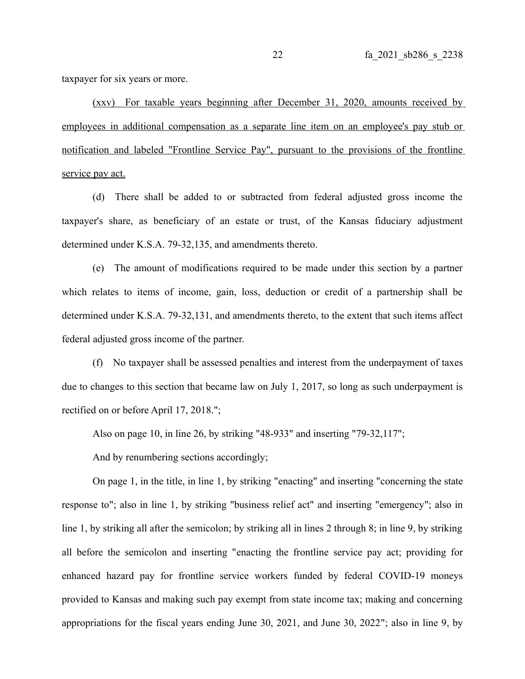taxpayer for six years or more.

(xxv) For taxable years beginning after December 31, 2020, amounts received by employees in additional compensation as a separate line item on an employee's pay stub or notification and labeled "Frontline Service Pay", pursuant to the provisions of the frontline service pay act.

(d) There shall be added to or subtracted from federal adjusted gross income the taxpayer's share, as beneficiary of an estate or trust, of the Kansas fiduciary adjustment determined under K.S.A. 79-32,135, and amendments thereto.

(e) The amount of modifications required to be made under this section by a partner which relates to items of income, gain, loss, deduction or credit of a partnership shall be determined under K.S.A. 79-32,131, and amendments thereto, to the extent that such items affect federal adjusted gross income of the partner.

(f) No taxpayer shall be assessed penalties and interest from the underpayment of taxes due to changes to this section that became law on July 1, 2017, so long as such underpayment is rectified on or before April 17, 2018.";

Also on page 10, in line 26, by striking "48-933" and inserting "79-32,117";

And by renumbering sections accordingly;

On page 1, in the title, in line 1, by striking "enacting" and inserting "concerning the state response to"; also in line 1, by striking "business relief act" and inserting "emergency"; also in line 1, by striking all after the semicolon; by striking all in lines 2 through 8; in line 9, by striking all before the semicolon and inserting "enacting the frontline service pay act; providing for enhanced hazard pay for frontline service workers funded by federal COVID-19 moneys provided to Kansas and making such pay exempt from state income tax; making and concerning appropriations for the fiscal years ending June 30, 2021, and June 30, 2022"; also in line 9, by